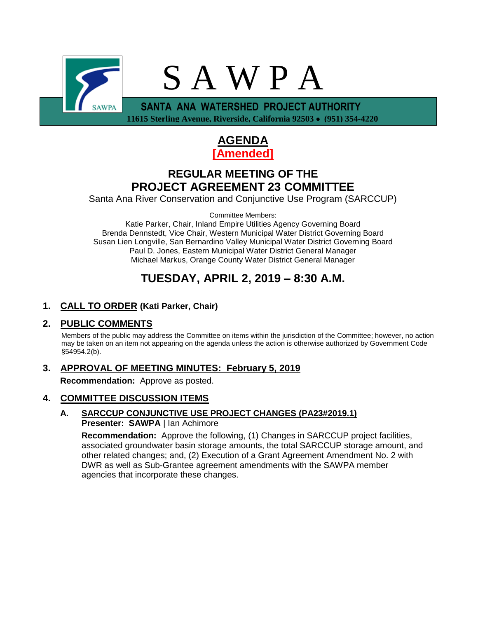

 **11615 Sterling Avenue, Riverside, California 92503** • **(951) 354-4220**



## **REGULAR MEETING OF THE PROJECT AGREEMENT 23 COMMITTEE**

Santa Ana River Conservation and Conjunctive Use Program (SARCCUP)

Committee Members:

Katie Parker, Chair, Inland Empire Utilities Agency Governing Board Brenda Dennstedt, Vice Chair, Western Municipal Water District Governing Board Susan Lien Longville, San Bernardino Valley Municipal Water District Governing Board Paul D. Jones, Eastern Municipal Water District General Manager Michael Markus, Orange County Water District General Manager

# **TUESDAY, APRIL 2, 2019 – 8:30 A.M.**

## **1. CALL TO ORDER (Kati Parker, Chair)**

## **2. PUBLIC COMMENTS**

Members of the public may address the Committee on items within the jurisdiction of the Committee; however, no action may be taken on an item not appearing on the agenda unless the action is otherwise authorized by Government Code §54954.2(b).

# **3. APPROVAL OF MEETING MINUTES: February 5, 2019**

**Recommendation:** Approve as posted.

## **4. COMMITTEE DISCUSSION ITEMS**

### **A. SARCCUP CONJUNCTIVE USE PROJECT CHANGES (PA23#2019.1) Presenter: SAWPA** | Ian Achimore

**Recommendation:** Approve the following, (1) Changes in SARCCUP project facilities, associated groundwater basin storage amounts, the total SARCCUP storage amount, and other related changes; and, (2) Execution of a Grant Agreement Amendment No. 2 with DWR as well as Sub-Grantee agreement amendments with the SAWPA member agencies that incorporate these changes.